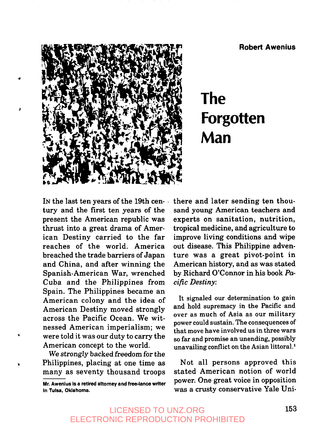**Robert Awenius**



# **The Forgotten**<br>Man

IN the last ten years of the 19th century and the first ten years of the present the American republic was thrust into a great drama of American Destiny carried to the far reaches of the world. America breached the trade barriers of Japan and China, and after winning the Spanish-American War, wrenched Cuba and the Philippines from Spain. The Philippines became an American colony and the idea of American Destiny moved strongly across the Pacific Ocean. We witnessed American imperialism; we were told it was our duty to carry the American concept to the world.

*We* strongly backed freedom for the Philippines, placing at one time as many as seventy thousand troops

**Mr. Awenius is a retired attorney and free-lance writer** In Tulsa, **Oklahoma.**

there and later sending ten thousand young American teachers and experts on sanitation, nutrition, tropical medicine, and agriculture to improve living conditions and wipe out disease. This Philippine adventure was a great pivot-point in American history, and as was stated by Richard O'Connor in his book Pacific *Destiny:*

It signaled our determination to gain and hold supremacy in the Pacific and over as much of Asia as our military power could sustain. The consequences of that move have involved us in three wars so far and promise an unending, possibly unavailing conflict on the Asian littoral?

Not all persons approved this stated American notion of world power. One great voice in opposition was a crusty conservative Yale Uni-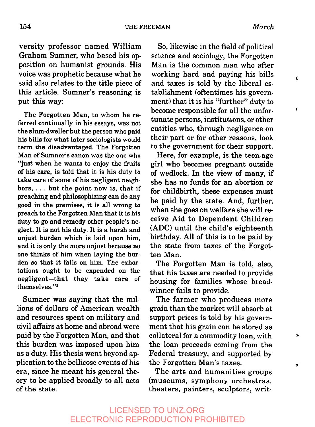Ċ

¢

 $\mathbf{r}$ 

×

versity professor named William Graham Sumner, who based his opposition on humanist grounds. His voice was prophetic because what he said also relates to the title piece of this article. Sumner's reasoning is put this way:

The Forgotten Man, to whom he referred continually in his essays, was not the slum-dweller but the person who paid his bills for what later sociologists would term the disadvantaged. The Forgotten Man of Sumner's canon was the one who "just when he wants to enjoy the fruits of his care, is told that it is his duty to take care of some of his negligent neighbors,  $\dots$  but the point now is, that if preaching and philosophizing can do any good in the premises, it is all wrong to preach to the Forgotten Man that it is his duty to go and remedy other people's neglect. It is not his duty. It is a harsh and unjust burden which is laid upon him, and it is only the more unjust because no one thinks of him when laying the burden so that it falls on him. The exhortations ought to be expended on the negligent-that they take care of themselves. ''2

Sumner was saying that the millions of dollars of American wealth and resources spent on military and civil affairs at home and abroad were paid by the Forgotten Man, and that this burden was imposed upon him as a duty. His thesis went beyond application to the bellicose events of his era, since he meant his general theory to be applied broadly to all acts of the state.

So, likewise in the field of political science and sociology, the Forgotten Man is the common man who after working hard and paying his bills and taxes is told by the liberal establishment (oftentimes his government) that it is his "further" duty to become responsible for all the unfortunate persons, institutions, or other entities who, through negligence on their part or for other reasons, look to the government for their support.

Here, for example, is the teen-age girl who becomes pregnant outside of wedlock. In the view of many, if she has no funds for an abortion or for childbirth, these expenses must be paid by the state. And, further, when she goes on welfare she will receive Aid to Dependent Children (ADC) until the child's eighteenth birthday. All of this is to be paid by the state from taxes of the Forgotten Man.

The Forgotten Man is told, also, that his taxes are needed to provide housing for families whose breadwinner fails to provide.

The farmer who produces more grain than the market will absorb at support prices is told by his government that his grain can be stored as collateral for a commodity loan, with the loan proceeds coming from the Federal treasury, and supported by the Forgotten Man's taxes.

The arts and humanities groups (museums, symphony orchestras, theaters, painters, sculptors, writ-

### LICENSED TO UNZ.ORG ELECTRONIC REPRODUCTION PROHIBITED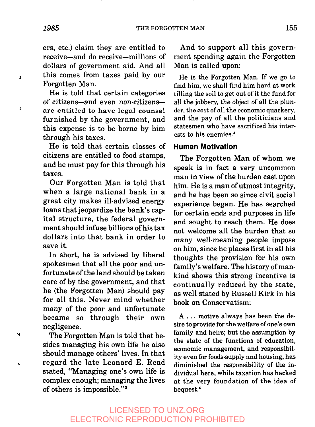ers, etc.) claim they are entitled to receive-and do receive-millions of dollars of government aid. And all this comes from taxes paid by our Forgotten Man.

He is told that certain categories of citizens--and even non-citizens-are entitled to have legal counsel furnished by the government, and this expense is to be borne by him through his taxes.

He is told that certain classes of citizens are entitled to food stamps, and he must pay for this through his taxes.

Our Forgotten Man is told that when a large national bank in a great city makes ill-advised energy loans that jeopardize the bank's capital structure, the federal government should infuse billions of his tax dollars into that bank in order to save it.

In short, he is advised by liberal spokesmen that all the poor and unfortunate of the land should be taken care of by the government, and that he (the Forgotten Man) should pay for all this. Never mind whether many of the poor and unfortunate became so through their own negligence.

The Forgotten Man is told that besides managing his own life he also should manage others' lives. In that regard the late Leonard E. Read stated, "Managing one's own life is complex enough; managing the lives of others is impossible. ''3

And to support all this government spending again the Forgotten Man is called upon:

He is the Forgotten Man. If we go to find him, we shall find him hard at work tilling the soil to get out of it the fund for all the jobbery, the object of all the plunder, the cost of all the economic quackery, and the pay of all the politicians and statesmen who have sacrificed his interests to his enemies. 4

#### **Human Motivation**

The Forgotten Man of whom we speak is in fact a very uncommon man in view of the burden cast upon him. He is a man of utmost integrity, and he has been so since civil social experience began. He has searched for certain ends and purposes in life and sought to reach them. He does not welcome all the burden that so many well-meaning people impose on him, since he places first in all his thoughts the provision for his own family's welfare. The history of mankind shows this strong incentive is continually reduced by the state, as well stated by Russell Kirk in his book on Conservatism:

A... motive always has been the desire to provide for the welfare of one's own family and heirs; but the assumption by the state of the functions of education, economic management, and responsibility even for foods-supply and housing, has diminished the responsibility of the individual here, while taxation has hacked at the very foundation of the idea of bequest.<sup>5</sup>

### LICENSED TO UNZ.ORG ELECTRONIC REPRODUCTION PROHIBITED

ä

b.

Ń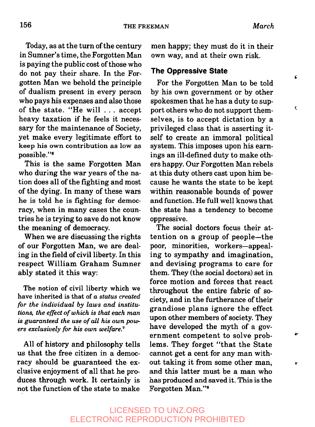c

¢

Ŧ.

Today, as at the turn of the century in Sumner's time, the Forgotten Man is paying the public cost of those who do not pay their share. In the Forgotten Man we behold the principle of dualism present in every person who pays his expenses and also those of the state. "He will ... accept heavy taxation if he feels it necessary for the maintenance of Society, yet make every legitimate effort to keep his own contribution as low as possible."<sup>6</sup>

This is the same Forgotten Man who during the war years of the nation does all of the fighting and most of the dying. In many of these wars he is told he is fighting for democracy, when in many cases the countries he is trying to save do not know the meaning of democracy.

When we are discussing the rights of our Forgotten Man, we are dealing in the field of civil liberty. In this respect William Graham Sumner ably stated it this way:

The notion of civil liberty which we have inherited is that of *a status created for the individual by laws and institutions, the effect of which is that each man is guaranteed the use of all his own powers exclusively for his own welfare. 7*

All of history and philosophy tells us that the free citizen in a democracy should be guaranteed the exclusive enjoyment of all that he produces through work. It certainly is not the function of the state to make men happy; they must do it in their own way, and at their own risk.

#### **The Oppressive State**

For the Forgotten Man to be told by his own government or by other spokesmen that he has a duty to support others who do not support themselves, is to accept dictation by a privileged class that is asserting itself to create an immoral political system. This imposes upon his earnings an ill-defined duty to make others happy. Our Forgotten Man rebels at this duty others cast upon him because he wants the state to be kept within reasonable bounds of power and function. He full well knows that the state has a tendency to become oppressive.

The social doctors focus their attention on a group of people--the poor, minorities, workers--appealing to sympathy and imagination, and devising programs to care for them. They (the social doctors) set force motion and forces that react throughout the entire fabric of society, and in the furtherance of their grandiose plans ignore the effect upon other members of society. They have developed the myth of a government competent to solve problems. They forget "that the State .cannot get a cent for any man without taking it from some other man, and this latter must be a man who has produced and saved it. This is the Forgotten Man. ''8

## LICENSED TO UNZ.ORG ELECTRONIC REPRODUCTION PROHIBITED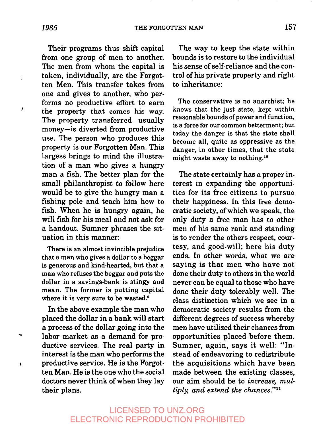ċ

Ь.

٠y

ï

Their programs thus shift capital from one group of men to another. The men from whom the capital is taken, individually, are the Forgotten Men. This transfer takes from one and gives to another, who performs no productive effort to earn the property that comes his way. The property transferred-usually money--is diverted from productive use. The person who produces this property is our Forgotten Man. This largess brings to mind the illustration of a man who gives a hungry man a fish. The better plan for the small philanthropist to follow here would be to give the hungry man a fishing pole and teach him how to fish. When he is hungry again, he will fish for his meal and not ask for a handout. Sumner phrases the situation in this manner:

There is an almost invincible prejudice that a man who gives a dollar to a beggar is generous and kind-hearted, but that a man who refuses the beggar and puts the dollar in a savings-bank is stingy and mean. The former is putting capital where it is very sure to be wasted.<sup>9</sup>

In the above example the man who placed the dollar in a bank will start a process of the dollar going into the labor market as a demand for productive services. The real party in interest is the man who performs the productive service. He is the Forgotten Man. He is the one who the social doctors never think of when they lay their plans.

The way to keep the state within bounds is to restore to the individual his sense of self-reliance and the contro! of his private property and right to inheritance:

The conservative is no anarchist; he knows that the just state, kept within reasonable bounds of power and function, is a force for our common betterment; but today the danger is that the state shall become all, quite as oppressive as the danger, in other times, that the state might waste away to nothing.<sup>10</sup>

The state certainly has a proper interest in expanding the opportunities for its free citizens to pursue their happiness. In this free democratic society, of which we speak, the only duty a free man has to other men of his same rank and standing is to render the others respect, courtesy, and good-will; here his duty ends. In other words, what we are saying is that men who have not done their duty to others in the world never can be equal to those who have done their duty tolerably well. The class distinction which we see in a democratic society results from the different degrees of success whereby men have utilized their chances from opportunities placed before them. Sumner, again, says it well: "Instead of endeavoring to redistribute the acquisitions which have been made between the existing classes, our aim should be to *increase, multiply, and extend the chances. ''11*

## LICENSED TO UNZ.ORG ELECTRONIC REPRODUCTION PROHIBITED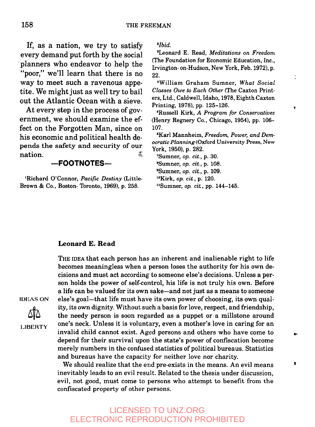If, as a nation, we try to satisfy every demand put forth by the social planners who endeavor to help the "poor," we'll learn that there is no way to meet such a ravenous appetite. We might just as well try to bail out the Atlantic Ocean with a sieve.

At every step in the process of government, we should examine the effect on the Forgotten Man, since on his economic and political health depends the safety and security of our nation.  $\ddot{x}$ 

#### **--FOOTNOTES--**

**~Richard** O'Connor, *Pacific Destiny* (Little-Brown & Co., Boston- Toronto, 1969), p. 258.

*=Ibid.*

8Leonard E. Read, *Meditations on Freedom* (The Foundation for Economic Education, Inc., Irvington- on-Hudson, New York, Feb. 1972), p. 22.

 $\vdots$ 

٠

 $\bullet$ 

'William Graham Sumner, *What Social Classes Owe to Each Other* (The Caxton Printers, Ltd., Caldwell, Idaho, 1978, Eighth Caxton Printing, 1978), pp. 125-126.

~Russell Kirk, *A Program for Conservatives* (Henry Regnery Co., Chicago, 1954), pp. 106- 107.

6Karl Mannheim, *Freedom, Power, and Democratic Planning* (Oxford University Press, New York, 1950), p. 282.

'Sumner, *op. cia,* p. 30. 8Sumner, *op. cia,* p. 108. 9Sumner, *op. cia,* p. 109. '°Kirk, *op. ci£,* p. 120.

<sup>11</sup>Sumner, *op. cit.*, pp. 144-145.

#### **Leonard E. Read**

THE IDEA that each person has an inherent and inalienable right to life becomes meaningless when a person loses the authority for his own decisions and must act according to someone else's decisions. Unless a person holds the power of self-control, his life is not truly his own. Before a life can be valued for its own sake-and not just as a means to someone else's goal--that life must have its own power of choosing, its own quality, its own dignity. Without such a basis for love, respect, and friendship, the needy person is soon regarded as a puppet or a millstone around one's neck. Unless it is voluntary, even a mother's love in caring for an invalid child cannot exist. Aged persons and others who have come to depend for their survival upon the state's power of confiscation become merely numbers in the confused statistics of political bureaus. Statistics and bureaus have the capacity for neither love nor charity.

We should realize that the end pre-exists in the means. An evil means inevitably leads to an evil result. Related to the thesis under discussion, evil, not good, must come to persons who attempt to benefit from the cortfiscated property of other persons.

## LICENSED TO UNZ.ORG ELECTRONIC REPRODUCTION PROHIBITED

IDEAS ON

LIBERTY